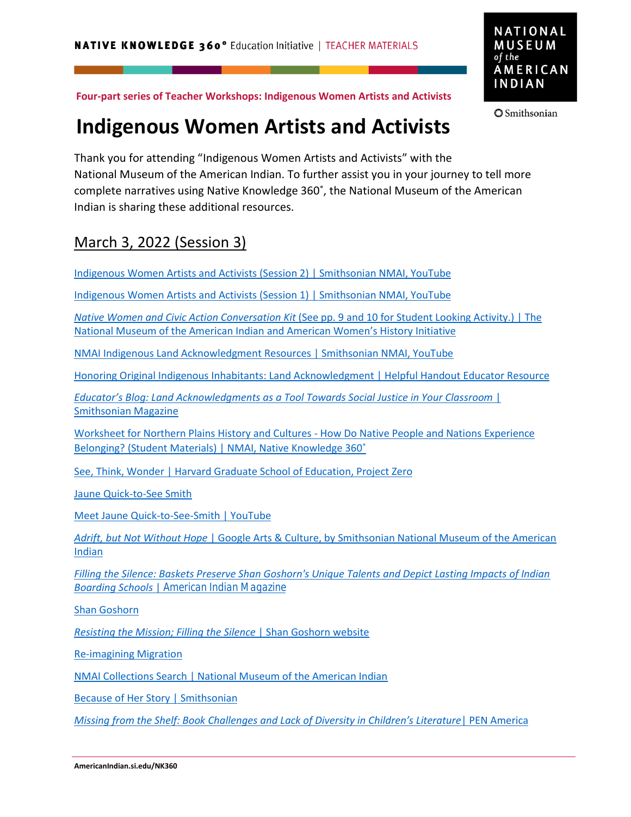

**Smithsonian** 

**Four-part series of Teacher Workshops: Indigenous Women Artists and Activists**

## **Indigenous Women Artists and Activists**

Thank you for attending "Indigenous Women Artists and Activists" with the National Museum of the American Indian. To further assist you in your journey to tell more complete narratives using Native Knowledge 360˚, the National Museum of the American Indian is sharing these additional resources.

## March 3, 2022 (Session 3)

[Indigenous Women Artists and Activists \(Session 2\) | Smithsonian NMAI, YouTube](https://youtu.be/pLT0DYgrsuw)

[Indigenous Women Artists and Activists \(Session 1\) | Smithsonian NMAI, YouTube](https://www.youtube.com/watch?v=1mMDr0z0XdI)

*Native Women and Civic Action Conversation Kit* [\(See pp. 9 and 10 for Student Looking Activity.\) | The](https://womenshistory.si.edu/sites/default/files/conversation-kit/nativewomencivicaction_conversations.pdf) [National Museum of the American Indian and American](https://womenshistory.si.edu/sites/default/files/conversation-kit/nativewomencivicaction_conversations.pdf) Women's History Initiative

[NMAI Indigenous Land Acknowledgment Resources | Smithsonian NMAI, YouTube](https://youtu.be/pbqGqQw6RF4)

[Honoring Original Indigenous Inhabitants: Land Acknowledgment | Helpful Handout Educator Resource](https://americanindian.si.edu/nk360/informational/land-acknowledgment)

*[Educator's Blog: Land Acknowledgments as a Tool Towards Social Justice in Your Classroom](https://www.smithsonianmag.com/blogs/national-museum-american-indian/2021/11/08/educators-blog-land-acknowledgments-as-a-tool-towards-social-justice-in-your-classroom/)* | [Smithsonian Magazine](https://www.smithsonianmag.com/blogs/national-museum-american-indian/2021/11/08/educators-blog-land-acknowledgments-as-a-tool-towards-social-justice-in-your-classroom/)

[Worksheet for Northern Plains History and Cultures - How Do Native People and Nations Experience](https://americanindian.si.edu/nk360/plains-belonging/pdf/PLM1-Staging-The-Question-Student-Materials.pdf) Belonging? [\(Student Materials\) | NMAI, Native Knowledge 360˚](https://americanindian.si.edu/nk360/plains-belonging/pdf/PLM1-Staging-The-Question-Student-Materials.pdf)

[See, Think, Wonder | Harvard Graduate School of Education, Project Zero](http://pz.harvard.edu/resources/see-think-wonder)

[Jaune Quick-to-See Smith](https://www.jaunequicktoseesmith.org/)

[Meet Jaune Quick-to-See-Smith | YouTube](https://youtu.be/1BtEJqvhosw)

*Adrift, but Not Without Hope* [| Google Arts & Culture, by Smithsonian National Museum of the American](https://artsandculture.google.com/story/agXxO7uNq_0JKw?hl=en) [Indian](https://artsandculture.google.com/story/agXxO7uNq_0JKw?hl=en)

*[Filling the Silence: Baskets Preserve Shan Goshorn's Unique Talents and Depict Lasting Impacts of Indian](https://www.americanindianmagazine.org/story/filling-silence) Boarding Schools* | *[American Indian Magazine](https://www.americanindianmagazine.org/story/filling-silence)*

[Shan Goshorn](http://www.shangoshorn.net/)

*[Resisting the Mission; Filling the Silence](http://www.shangoshorn.net/resisting-the-mission-filling-the-silence)* | Shan Goshorn website

[Re-imagining Migration](https://reimaginingmigration.org/)

[NMAI Collections Search | National Museum of the American Indian](https://americanindian.si.edu/explore/collections/search)

[Because of Her Story | Smithsonian](https://womenshistory.si.edu/)

*[Missing from the Shelf: Book Challenges and Lack of Diversity in Children's Literature](https://pen.org/re%20search-resources/missing-from-the-shelf-book-challenges-and-lack-of-diversity-in-childrens-literature/)*| PEN America